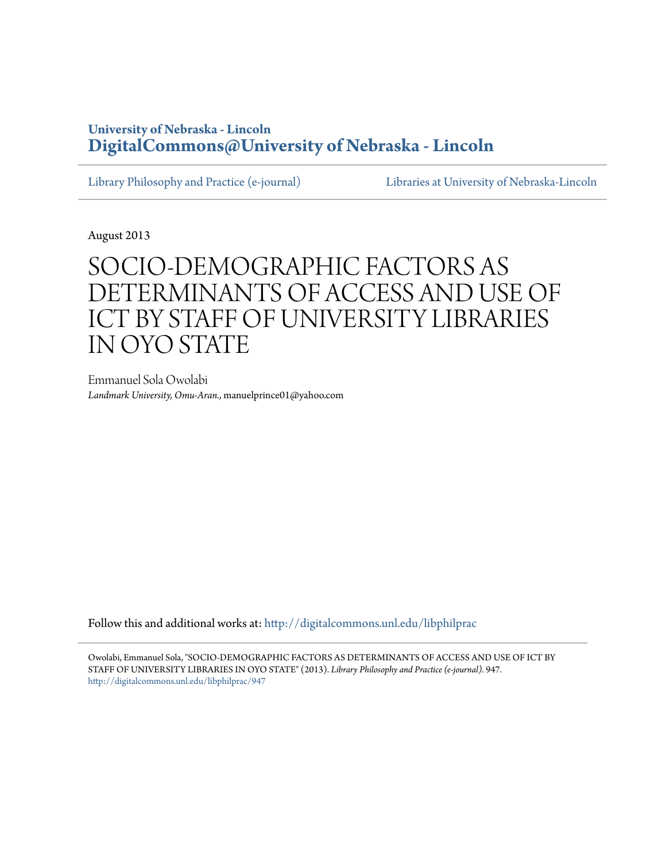### **University of Nebraska - Lincoln [DigitalCommons@University of Nebraska - Lincoln](http://digitalcommons.unl.edu?utm_source=digitalcommons.unl.edu%2Flibphilprac%2F947&utm_medium=PDF&utm_campaign=PDFCoverPages)**

[Library Philosophy and Practice \(e-journal\)](http://digitalcommons.unl.edu/libphilprac?utm_source=digitalcommons.unl.edu%2Flibphilprac%2F947&utm_medium=PDF&utm_campaign=PDFCoverPages) [Libraries at University of Nebraska-Lincoln](http://digitalcommons.unl.edu/libraries?utm_source=digitalcommons.unl.edu%2Flibphilprac%2F947&utm_medium=PDF&utm_campaign=PDFCoverPages)

August 2013

# SOCIO-DEMOGRAPHIC FACTORS AS DETERMINANTS OF ACCESS AND USE OF ICT BY STAFF OF UNIVERSITY LIBRARIES IN OYO STATE

Emmanuel Sola Owolabi *Landmark University, Omu-Aran.*, manuelprince01@yahoo.com

Follow this and additional works at: [http://digitalcommons.unl.edu/libphilprac](http://digitalcommons.unl.edu/libphilprac?utm_source=digitalcommons.unl.edu%2Flibphilprac%2F947&utm_medium=PDF&utm_campaign=PDFCoverPages)

Owolabi, Emmanuel Sola, "SOCIO-DEMOGRAPHIC FACTORS AS DETERMINANTS OF ACCESS AND USE OF ICT BY STAFF OF UNIVERSITY LIBRARIES IN OYO STATE" (2013). *Library Philosophy and Practice (e-journal)*. 947. [http://digitalcommons.unl.edu/libphilprac/947](http://digitalcommons.unl.edu/libphilprac/947?utm_source=digitalcommons.unl.edu%2Flibphilprac%2F947&utm_medium=PDF&utm_campaign=PDFCoverPages)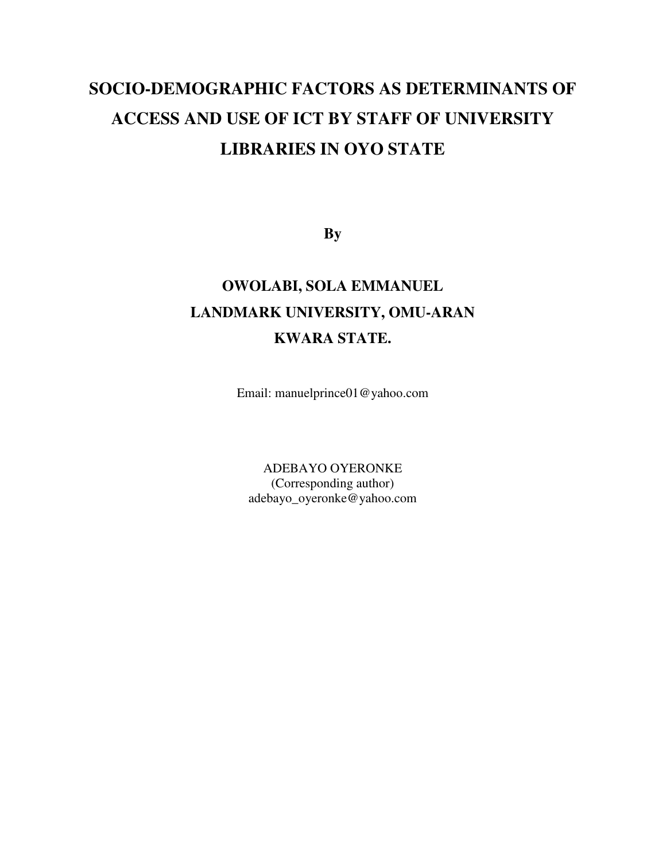# **SOCIO-DEMOGRAPHIC FACTORS AS DETERMINANTS OF ACCESS AND USE OF ICT BY STAFF OF UNIVERSITY LIBRARIES IN OYO STATE**

**By** 

## **OWOLABI, SOLA EMMANUEL LANDMARK UNIVERSITY, OMU-ARAN KWARA STATE.**

Email: manuelprince01@yahoo.com

ADEBAYO OYERONKE (Corresponding author) adebayo\_oyeronke@yahoo.com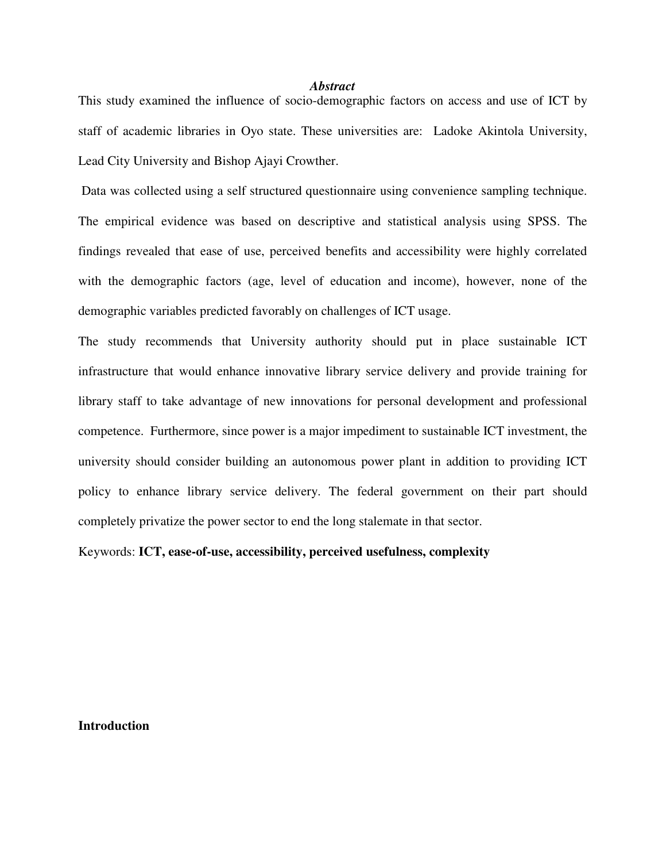#### *Abstract*

This study examined the influence of socio-demographic factors on access and use of ICT by staff of academic libraries in Oyo state. These universities are: Ladoke Akintola University, Lead City University and Bishop Ajayi Crowther.

 Data was collected using a self structured questionnaire using convenience sampling technique. The empirical evidence was based on descriptive and statistical analysis using SPSS. The findings revealed that ease of use, perceived benefits and accessibility were highly correlated with the demographic factors (age, level of education and income), however, none of the demographic variables predicted favorably on challenges of ICT usage.

The study recommends that University authority should put in place sustainable ICT infrastructure that would enhance innovative library service delivery and provide training for library staff to take advantage of new innovations for personal development and professional competence. Furthermore, since power is a major impediment to sustainable ICT investment, the university should consider building an autonomous power plant in addition to providing ICT policy to enhance library service delivery. The federal government on their part should completely privatize the power sector to end the long stalemate in that sector.

Keywords: **ICT, ease-of-use, accessibility, perceived usefulness, complexity** 

#### **Introduction**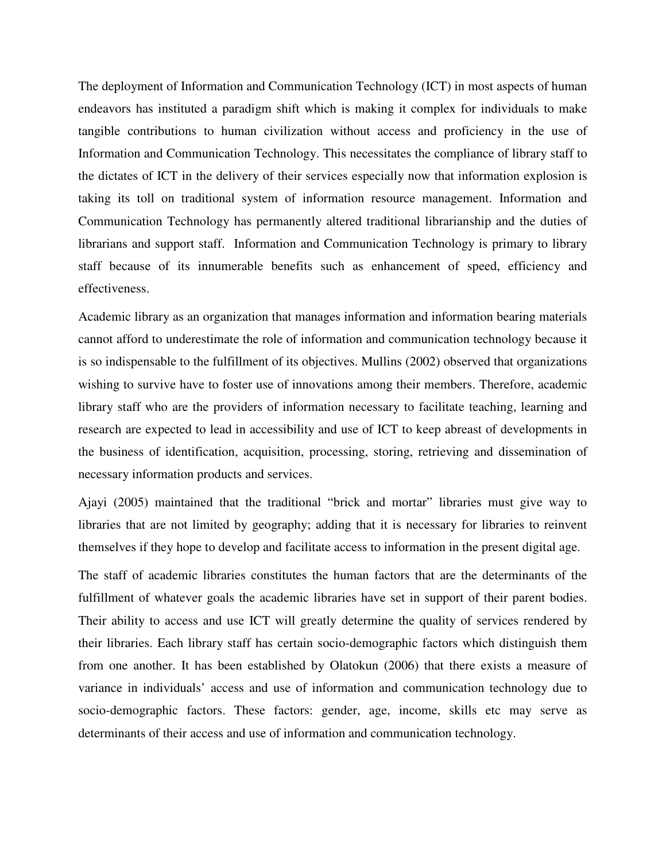The deployment of Information and Communication Technology (ICT) in most aspects of human endeavors has instituted a paradigm shift which is making it complex for individuals to make tangible contributions to human civilization without access and proficiency in the use of Information and Communication Technology. This necessitates the compliance of library staff to the dictates of ICT in the delivery of their services especially now that information explosion is taking its toll on traditional system of information resource management. Information and Communication Technology has permanently altered traditional librarianship and the duties of librarians and support staff. Information and Communication Technology is primary to library staff because of its innumerable benefits such as enhancement of speed, efficiency and effectiveness.

Academic library as an organization that manages information and information bearing materials cannot afford to underestimate the role of information and communication technology because it is so indispensable to the fulfillment of its objectives. Mullins (2002) observed that organizations wishing to survive have to foster use of innovations among their members. Therefore, academic library staff who are the providers of information necessary to facilitate teaching, learning and research are expected to lead in accessibility and use of ICT to keep abreast of developments in the business of identification, acquisition, processing, storing, retrieving and dissemination of necessary information products and services.

Ajayi (2005) maintained that the traditional "brick and mortar" libraries must give way to libraries that are not limited by geography; adding that it is necessary for libraries to reinvent themselves if they hope to develop and facilitate access to information in the present digital age.

The staff of academic libraries constitutes the human factors that are the determinants of the fulfillment of whatever goals the academic libraries have set in support of their parent bodies. Their ability to access and use ICT will greatly determine the quality of services rendered by their libraries. Each library staff has certain socio-demographic factors which distinguish them from one another. It has been established by Olatokun (2006) that there exists a measure of variance in individuals' access and use of information and communication technology due to socio-demographic factors. These factors: gender, age, income, skills etc may serve as determinants of their access and use of information and communication technology.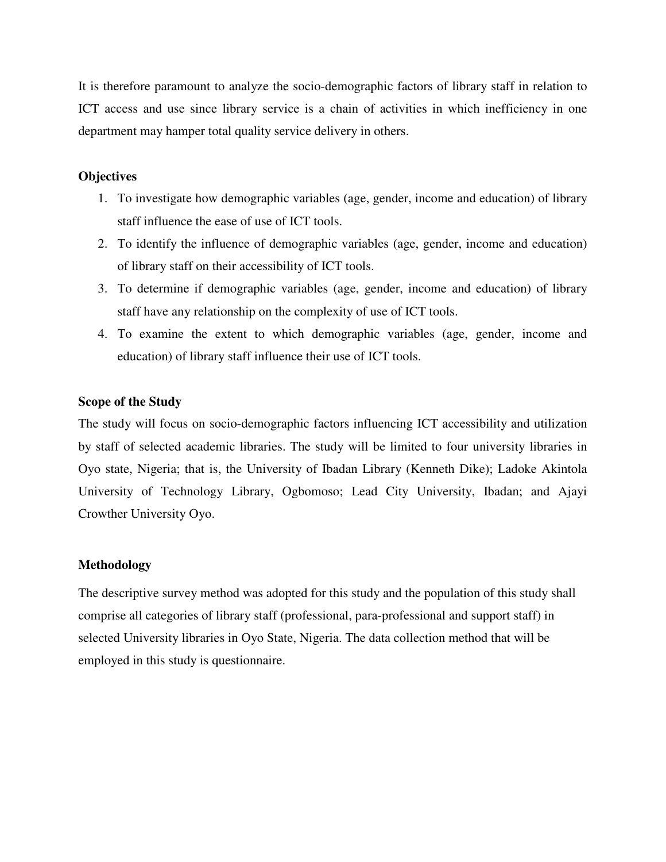It is therefore paramount to analyze the socio-demographic factors of library staff in relation to ICT access and use since library service is a chain of activities in which inefficiency in one department may hamper total quality service delivery in others.

#### **Objectives**

- 1. To investigate how demographic variables (age, gender, income and education) of library staff influence the ease of use of ICT tools.
- 2. To identify the influence of demographic variables (age, gender, income and education) of library staff on their accessibility of ICT tools.
- 3. To determine if demographic variables (age, gender, income and education) of library staff have any relationship on the complexity of use of ICT tools.
- 4. To examine the extent to which demographic variables (age, gender, income and education) of library staff influence their use of ICT tools.

#### **Scope of the Study**

The study will focus on socio-demographic factors influencing ICT accessibility and utilization by staff of selected academic libraries. The study will be limited to four university libraries in Oyo state, Nigeria; that is, the University of Ibadan Library (Kenneth Dike); Ladoke Akintola University of Technology Library, Ogbomoso; Lead City University, Ibadan; and Ajayi Crowther University Oyo.

#### **Methodology**

The descriptive survey method was adopted for this study and the population of this study shall comprise all categories of library staff (professional, para-professional and support staff) in selected University libraries in Oyo State, Nigeria. The data collection method that will be employed in this study is questionnaire.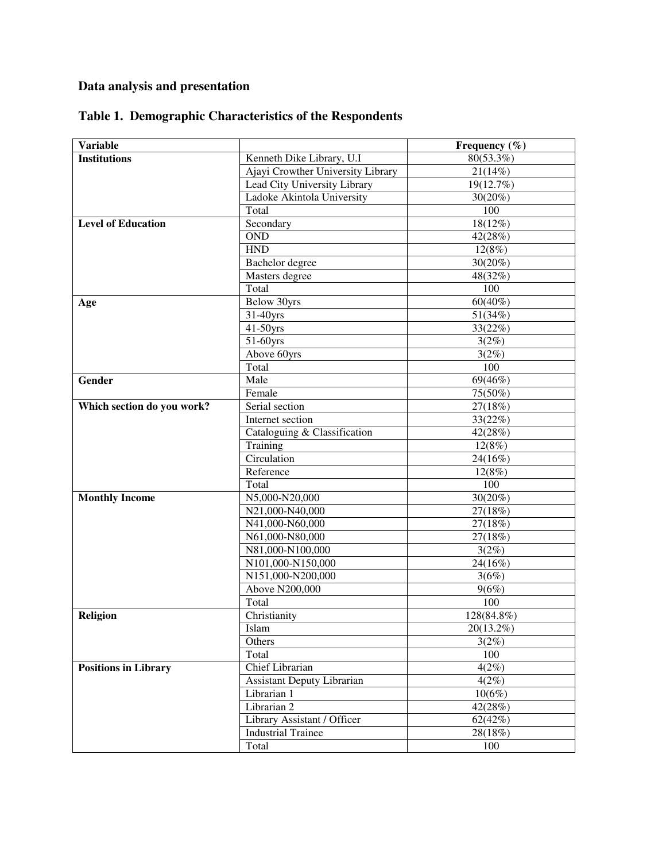### **Data analysis and presentation**

| <b>Variable</b>             |                                   | Frequency $(\% )$    |  |
|-----------------------------|-----------------------------------|----------------------|--|
| <b>Institutions</b>         | Kenneth Dike Library, U.I         | $80(53.3\%)$         |  |
|                             | Ajayi Crowther University Library | 21(14%)              |  |
|                             | Lead City University Library      | 19(12.7%)            |  |
|                             | Ladoke Akintola University        | $30(20\%)$           |  |
|                             | Total                             | 100                  |  |
| <b>Level of Education</b>   | Secondary                         | 18(12%)              |  |
|                             | <b>OND</b>                        | 42(28%)              |  |
|                             | <b>HND</b>                        | 12(8%)               |  |
|                             | Bachelor degree                   | 30(20%)              |  |
|                             | Masters degree                    | 48(32%)              |  |
|                             | Total                             | 100                  |  |
| Age                         | <b>Below 30yrs</b>                | $60(40\%)$           |  |
|                             | 31-40yrs                          | 51(34%)              |  |
|                             | 41-50yrs                          | 33(22%)              |  |
|                             | 51-60yrs                          | 3(2%)                |  |
|                             | Above 60yrs                       | 3(2%)                |  |
|                             | Total                             | 100                  |  |
| Gender                      | Male                              | 69(46%)              |  |
|                             | Female                            | 75(50%)              |  |
| Which section do you work?  | Serial section                    | 27(18%)              |  |
|                             | Internet section                  | 33(22%)              |  |
|                             | Cataloguing & Classification      | 42(28%)              |  |
|                             | Training                          | 12(8%)               |  |
|                             | Circulation                       | 24(16%)              |  |
|                             | Reference                         | $\overline{12}(8\%)$ |  |
|                             | Total                             | 100                  |  |
| <b>Monthly Income</b>       | N5,000-N20,000                    | 30(20%)              |  |
|                             | N21,000-N40,000                   | 27(18%)              |  |
|                             | N41,000-N60,000                   | 27(18%)              |  |
|                             | N61,000-N80,000                   | 27(18%)              |  |
|                             | N81,000-N100,000                  | 3(2%)                |  |
|                             | N101,000-N150,000                 | 24(16%)              |  |
|                             | N151,000-N200,000                 | 3(6%)                |  |
|                             | <b>Above N200,000</b>             | 9(6%)                |  |
|                             | Total                             | 100                  |  |
| Religion                    | Christianity                      | 128(84.8%)           |  |
|                             | Islam                             | 20(13.2%)            |  |
|                             | Others                            | 3(2%)                |  |
|                             | Total                             | 100                  |  |
| <b>Positions in Library</b> | <b>Chief Librarian</b>            | 4(2%)                |  |
|                             | <b>Assistant Deputy Librarian</b> | 4(2%)                |  |
|                             | Librarian 1                       | $10(6\%)$            |  |
|                             | Librarian <sub>2</sub>            | 42(28%)              |  |
|                             | Library Assistant / Officer       | 62(42%)              |  |
|                             | <b>Industrial Trainee</b>         | 28(18%)              |  |
|                             | Total                             | 100                  |  |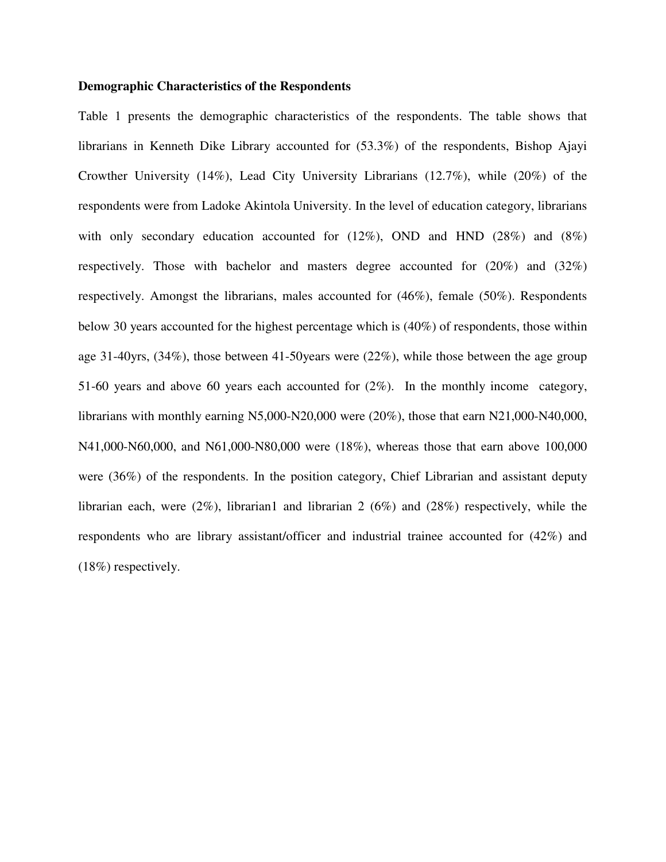#### **Demographic Characteristics of the Respondents**

Table 1 presents the demographic characteristics of the respondents. The table shows that librarians in Kenneth Dike Library accounted for (53.3%) of the respondents, Bishop Ajayi Crowther University (14%), Lead City University Librarians (12.7%), while (20%) of the respondents were from Ladoke Akintola University. In the level of education category, librarians with only secondary education accounted for  $(12\%)$ , OND and HND  $(28\%)$  and  $(8\%)$ respectively. Those with bachelor and masters degree accounted for (20%) and (32%) respectively. Amongst the librarians, males accounted for (46%), female (50%). Respondents below 30 years accounted for the highest percentage which is (40%) of respondents, those within age 31-40yrs, (34%), those between 41-50years were (22%), while those between the age group 51-60 years and above 60 years each accounted for (2%). In the monthly income category, librarians with monthly earning N5,000-N20,000 were (20%), those that earn N21,000-N40,000, N41,000-N60,000, and N61,000-N80,000 were (18%), whereas those that earn above 100,000 were (36%) of the respondents. In the position category, Chief Librarian and assistant deputy librarian each, were  $(2\%)$ , librarian1 and librarian 2 (6%) and (28%) respectively, while the respondents who are library assistant/officer and industrial trainee accounted for (42%) and (18%) respectively.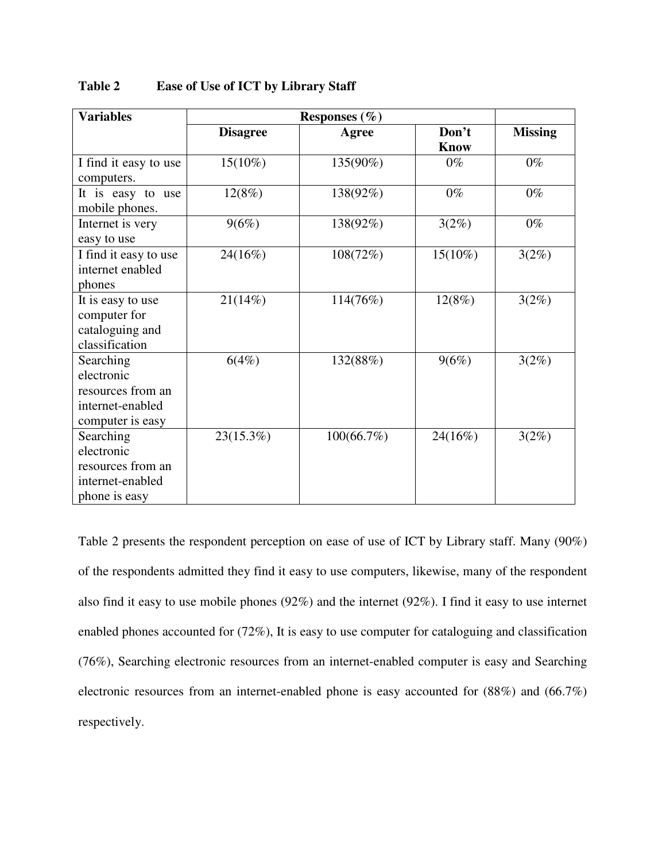| <b>Variables</b>                                                                     |                 |            |                      |                |
|--------------------------------------------------------------------------------------|-----------------|------------|----------------------|----------------|
|                                                                                      | <b>Disagree</b> | Agree      | Don't<br><b>Know</b> | <b>Missing</b> |
| I find it easy to use<br>computers.                                                  | $15(10\%)$      | 135(90%)   | $0\%$                | $0\%$          |
| It is easy to use<br>mobile phones.                                                  | 12(8%)          | 138(92%)   | $0\%$                | $0\%$          |
| Internet is very<br>easy to use                                                      | 9(6%)           | 138(92%)   | 3(2%)                | $0\%$          |
| I find it easy to use<br>internet enabled<br>phones                                  | 24(16%)         | 108(72%)   | $15(10\%)$           | 3(2%)          |
| It is easy to use<br>computer for<br>cataloguing and<br>classification               | 21(14%)         | 114(76%)   | 12(8%)               | 3(2%)          |
| Searching<br>electronic<br>resources from an<br>internet-enabled<br>computer is easy | 6(4%)           | 132(88%)   | 9(6%)                | 3(2%)          |
| Searching<br>electronic<br>resources from an<br>internet-enabled<br>phone is easy    | 23(15.3%)       | 100(66.7%) | 24(16%)              | 3(2%)          |

**Table 2 Ease of Use of ICT by Library Staff** 

Table 2 presents the respondent perception on ease of use of ICT by Library staff. Many (90%) of the respondents admitted they find it easy to use computers, likewise, many of the respondent also find it easy to use mobile phones (92%) and the internet (92%). I find it easy to use internet enabled phones accounted for (72%), It is easy to use computer for cataloguing and classification (76%), Searching electronic resources from an internet-enabled computer is easy and Searching electronic resources from an internet-enabled phone is easy accounted for (88%) and (66.7%) respectively.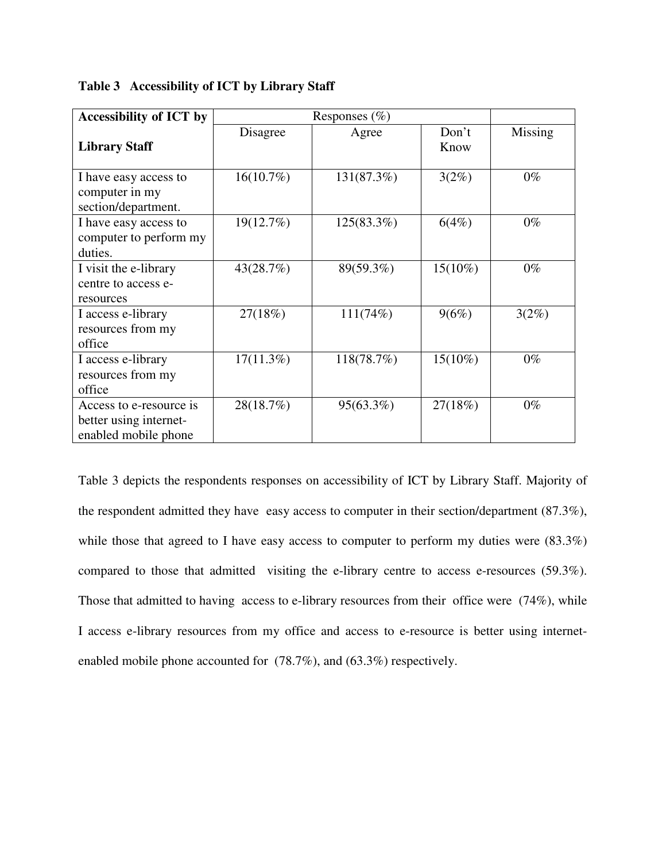| <b>Accessibility of ICT by</b>                                            |              |            |               |         |
|---------------------------------------------------------------------------|--------------|------------|---------------|---------|
| <b>Library Staff</b>                                                      | Disagree     | Agree      | Don't<br>Know | Missing |
| I have easy access to<br>computer in my<br>section/department.            | 16(10.7%)    | 131(87.3%) | 3(2%)         | $0\%$   |
| I have easy access to<br>computer to perform my<br>duties.                | 19(12.7%)    | 125(83.3%) | 6(4%)         | $0\%$   |
| I visit the e-library<br>centre to access e-<br>resources                 | 43(28.7%)    | 89(59.3%)  | $15(10\%)$    | $0\%$   |
| I access e-library<br>resources from my<br>office                         | 27(18%)      | 111(74%)   | 9(6%)         | 3(2%)   |
| I access e-library<br>resources from my<br>office                         | $17(11.3\%)$ | 118(78.7%) | $15(10\%)$    | $0\%$   |
| Access to e-resource is<br>better using internet-<br>enabled mobile phone | 28(18.7%)    | 95(63.3%)  | 27(18%)       | $0\%$   |

**Table 3 Accessibility of ICT by Library Staff** 

Table 3 depicts the respondents responses on accessibility of ICT by Library Staff. Majority of the respondent admitted they have easy access to computer in their section/department (87.3%), while those that agreed to I have easy access to computer to perform my duties were  $(83.3\%)$ compared to those that admitted visiting the e-library centre to access e-resources (59.3%). Those that admitted to having access to e-library resources from their office were (74%), while I access e-library resources from my office and access to e-resource is better using internetenabled mobile phone accounted for (78.7%), and (63.3%) respectively.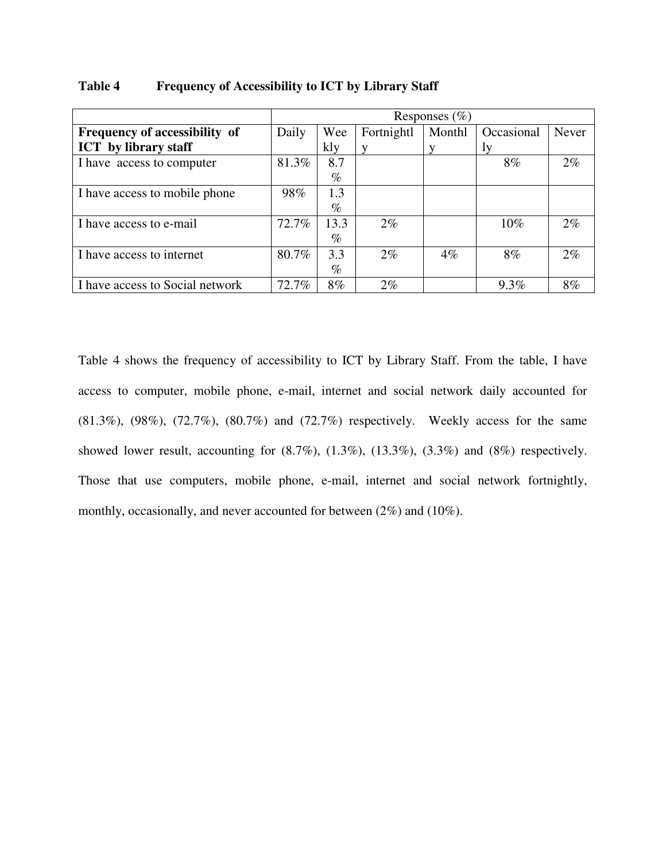|                                 | Responses $(\% )$ |      |            |        |            |              |
|---------------------------------|-------------------|------|------------|--------|------------|--------------|
| Frequency of accessibility of   | Daily             | Wee  | Fortnightl | Monthl | Occasional | <b>Never</b> |
| <b>ICT</b> by library staff     |                   | kly  |            |        | Iv         |              |
| I have access to computer       | 81.3%             | 8.7  |            |        | 8%         | 2%           |
|                                 |                   | $\%$ |            |        |            |              |
| I have access to mobile phone   | 98%               | 1.3  |            |        |            |              |
|                                 |                   | $\%$ |            |        |            |              |
| I have access to e-mail         | 72.7%             | 13.3 | $2\%$      |        | $10\%$     | $2\%$        |
|                                 |                   | $\%$ |            |        |            |              |
| I have access to internet       | 80.7%             | 3.3  | $2\%$      | $4\%$  | 8%         | $2\%$        |
|                                 |                   | $\%$ |            |        |            |              |
| I have access to Social network | 72.7%             | 8%   | $2\%$      |        | $9.3\%$    | 8%           |

**Table 4 Frequency of Accessibility to ICT by Library Staff** 

Table 4 shows the frequency of accessibility to ICT by Library Staff. From the table, I have access to computer, mobile phone, e-mail, internet and social network daily accounted for (81.3%), (98%), (72.7%), (80.7%) and (72.7%) respectively. Weekly access for the same showed lower result, accounting for  $(8.7\%)$ ,  $(1.3\%)$ ,  $(1.3\%)$ ,  $(3.3\%)$  and  $(8\%)$  respectively. Those that use computers, mobile phone, e-mail, internet and social network fortnightly, monthly, occasionally, and never accounted for between (2%) and (10%).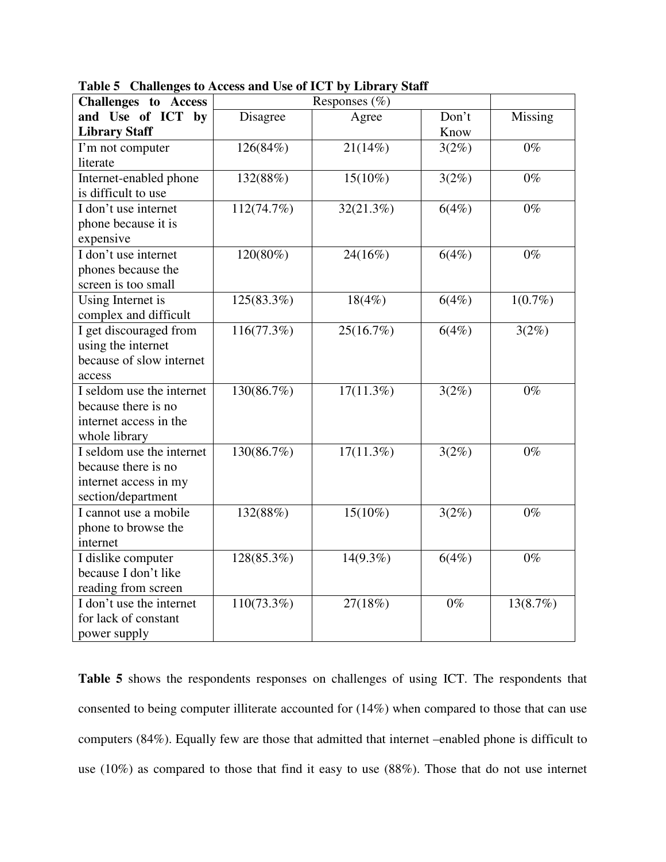| <b>Challenges</b> to Access |            |              |                     |            |
|-----------------------------|------------|--------------|---------------------|------------|
| and Use of ICT by           | Disagree   | Agree        | Don't               | Missing    |
| <b>Library Staff</b>        |            |              | Know                |            |
| I'm not computer            | 126(84%)   | 21(14%)      | 3(2%)               | $0\%$      |
| literate                    |            |              |                     |            |
| Internet-enabled phone      | 132(88%)   | $15(10\%)$   | 3(2%)               | $0\%$      |
| is difficult to use         |            |              |                     |            |
| I don't use internet        | 112(74.7%) | 32(21.3%)    | 6(4%)               | $0\%$      |
| phone because it is         |            |              |                     |            |
| expensive                   |            |              |                     |            |
| I don't use internet        | 120(80%)   | 24(16%)      | 6(4%)               | $0\%$      |
| phones because the          |            |              |                     |            |
| screen is too small         |            |              |                     |            |
| Using Internet is           | 125(83.3%) | 18(4%)       | 6(4%)               | $1(0.7\%)$ |
| complex and difficult       |            |              |                     |            |
| I get discouraged from      | 116(77.3%) | 25(16.7%)    | 6(4%)               | 3(2%)      |
| using the internet          |            |              |                     |            |
| because of slow internet    |            |              |                     |            |
| access                      |            |              |                     |            |
| I seldom use the internet   | 130(86.7%) | $17(11.3\%)$ | 3(2%)               | $0\%$      |
| because there is no         |            |              |                     |            |
| internet access in the      |            |              |                     |            |
| whole library               |            |              |                     |            |
| I seldom use the internet   | 130(86.7%) | $17(11.3\%)$ | $\overline{3}(2\%)$ | $0\%$      |
| because there is no         |            |              |                     |            |
| internet access in my       |            |              |                     |            |
| section/department          |            |              |                     |            |
| I cannot use a mobile       | 132(88%)   | $15(10\%)$   | 3(2%)               | $0\%$      |
| phone to browse the         |            |              |                     |            |
| internet                    |            |              |                     |            |
| I dislike computer          | 128(85.3%) | $14(9.3\%)$  | 6(4%)               | $0\%$      |
| because I don't like        |            |              |                     |            |
| reading from screen         |            |              |                     |            |
| I don't use the internet    | 110(73.3%) | 27(18%)      | $0\%$               | 13(8.7%)   |
| for lack of constant        |            |              |                     |            |
| power supply                |            |              |                     |            |

**Table 5 Challenges to Access and Use of ICT by Library Staff** 

**Table 5** shows the respondents responses on challenges of using ICT. The respondents that consented to being computer illiterate accounted for (14%) when compared to those that can use computers (84%). Equally few are those that admitted that internet –enabled phone is difficult to use (10%) as compared to those that find it easy to use (88%). Those that do not use internet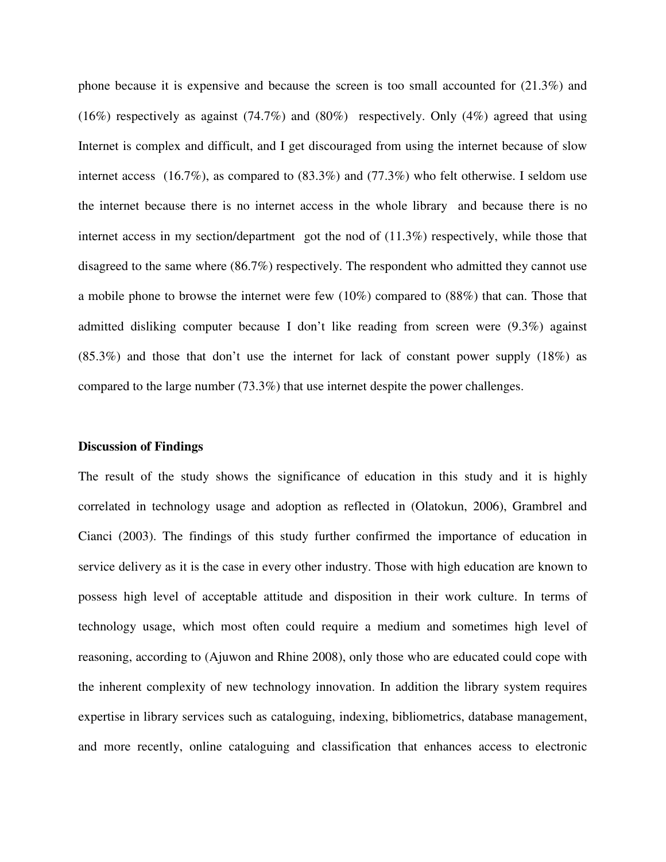phone because it is expensive and because the screen is too small accounted for (21.3%) and (16%) respectively as against (74.7%) and (80%) respectively. Only (4%) agreed that using Internet is complex and difficult, and I get discouraged from using the internet because of slow internet access (16.7%), as compared to (83.3%) and (77.3%) who felt otherwise. I seldom use the internet because there is no internet access in the whole library and because there is no internet access in my section/department got the nod of (11.3%) respectively, while those that disagreed to the same where (86.7%) respectively. The respondent who admitted they cannot use a mobile phone to browse the internet were few (10%) compared to (88%) that can. Those that admitted disliking computer because I don't like reading from screen were (9.3%) against (85.3%) and those that don't use the internet for lack of constant power supply (18%) as compared to the large number (73.3%) that use internet despite the power challenges.

#### **Discussion of Findings**

The result of the study shows the significance of education in this study and it is highly correlated in technology usage and adoption as reflected in (Olatokun, 2006), Grambrel and Cianci (2003). The findings of this study further confirmed the importance of education in service delivery as it is the case in every other industry. Those with high education are known to possess high level of acceptable attitude and disposition in their work culture. In terms of technology usage, which most often could require a medium and sometimes high level of reasoning, according to (Ajuwon and Rhine 2008), only those who are educated could cope with the inherent complexity of new technology innovation. In addition the library system requires expertise in library services such as cataloguing, indexing, bibliometrics, database management, and more recently, online cataloguing and classification that enhances access to electronic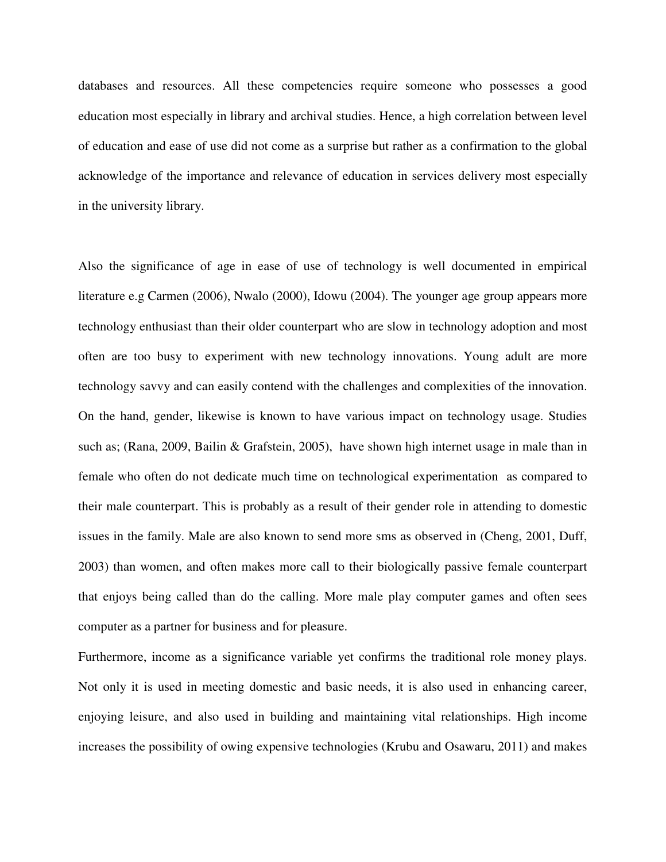databases and resources. All these competencies require someone who possesses a good education most especially in library and archival studies. Hence, a high correlation between level of education and ease of use did not come as a surprise but rather as a confirmation to the global acknowledge of the importance and relevance of education in services delivery most especially in the university library.

Also the significance of age in ease of use of technology is well documented in empirical literature e.g Carmen (2006), Nwalo (2000), Idowu (2004). The younger age group appears more technology enthusiast than their older counterpart who are slow in technology adoption and most often are too busy to experiment with new technology innovations. Young adult are more technology savvy and can easily contend with the challenges and complexities of the innovation. On the hand, gender, likewise is known to have various impact on technology usage. Studies such as; (Rana, 2009, Bailin & Grafstein, 2005), have shown high internet usage in male than in female who often do not dedicate much time on technological experimentation as compared to their male counterpart. This is probably as a result of their gender role in attending to domestic issues in the family. Male are also known to send more sms as observed in (Cheng, 2001, Duff, 2003) than women, and often makes more call to their biologically passive female counterpart that enjoys being called than do the calling. More male play computer games and often sees computer as a partner for business and for pleasure.

Furthermore, income as a significance variable yet confirms the traditional role money plays. Not only it is used in meeting domestic and basic needs, it is also used in enhancing career, enjoying leisure, and also used in building and maintaining vital relationships. High income increases the possibility of owing expensive technologies (Krubu and Osawaru, 2011) and makes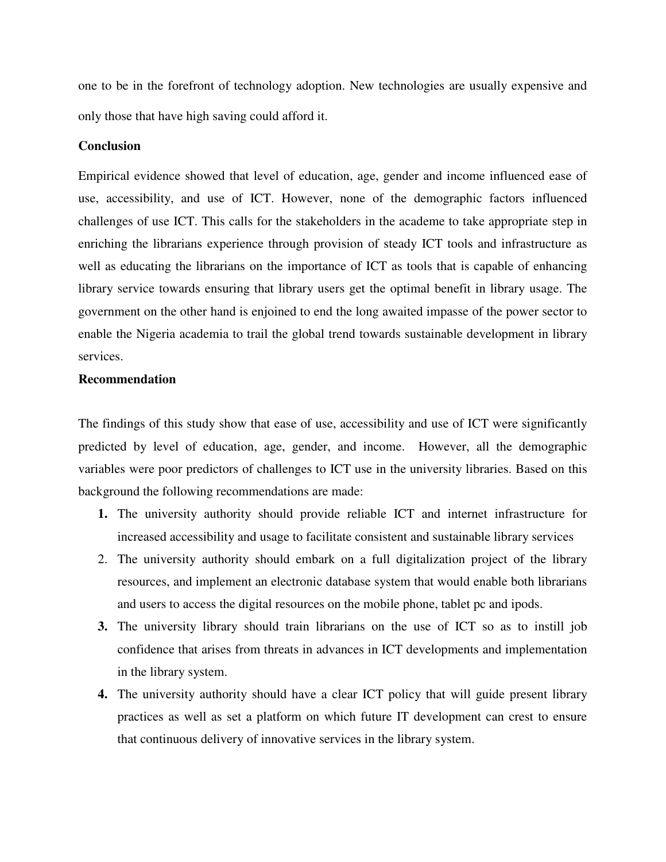one to be in the forefront of technology adoption. New technologies are usually expensive and only those that have high saving could afford it.

#### **Conclusion**

Empirical evidence showed that level of education, age, gender and income influenced ease of use, accessibility, and use of ICT. However, none of the demographic factors influenced challenges of use ICT. This calls for the stakeholders in the academe to take appropriate step in enriching the librarians experience through provision of steady ICT tools and infrastructure as well as educating the librarians on the importance of ICT as tools that is capable of enhancing library service towards ensuring that library users get the optimal benefit in library usage. The government on the other hand is enjoined to end the long awaited impasse of the power sector to enable the Nigeria academia to trail the global trend towards sustainable development in library services.

#### **Recommendation**

The findings of this study show that ease of use, accessibility and use of ICT were significantly predicted by level of education, age, gender, and income. However, all the demographic variables were poor predictors of challenges to ICT use in the university libraries. Based on this background the following recommendations are made:

- **1.** The university authority should provide reliable ICT and internet infrastructure for increased accessibility and usage to facilitate consistent and sustainable library services
- 2. The university authority should embark on a full digitalization project of the library resources, and implement an electronic database system that would enable both librarians and users to access the digital resources on the mobile phone, tablet pc and ipods.
- **3.** The university library should train librarians on the use of ICT so as to instill job confidence that arises from threats in advances in ICT developments and implementation in the library system.
- **4.** The university authority should have a clear ICT policy that will guide present library practices as well as set a platform on which future IT development can crest to ensure that continuous delivery of innovative services in the library system.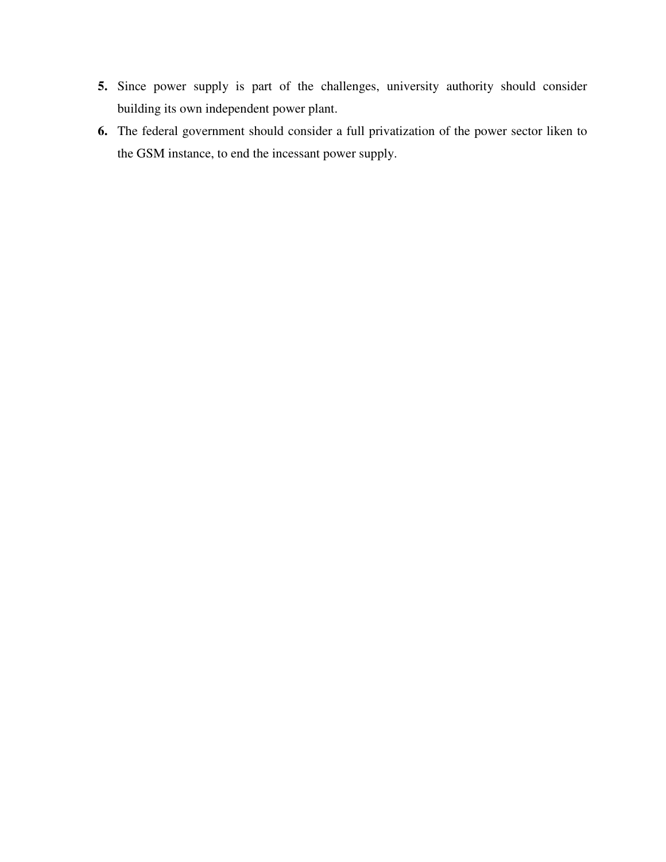- **5.** Since power supply is part of the challenges, university authority should consider building its own independent power plant.
- **6.** The federal government should consider a full privatization of the power sector liken to the GSM instance, to end the incessant power supply.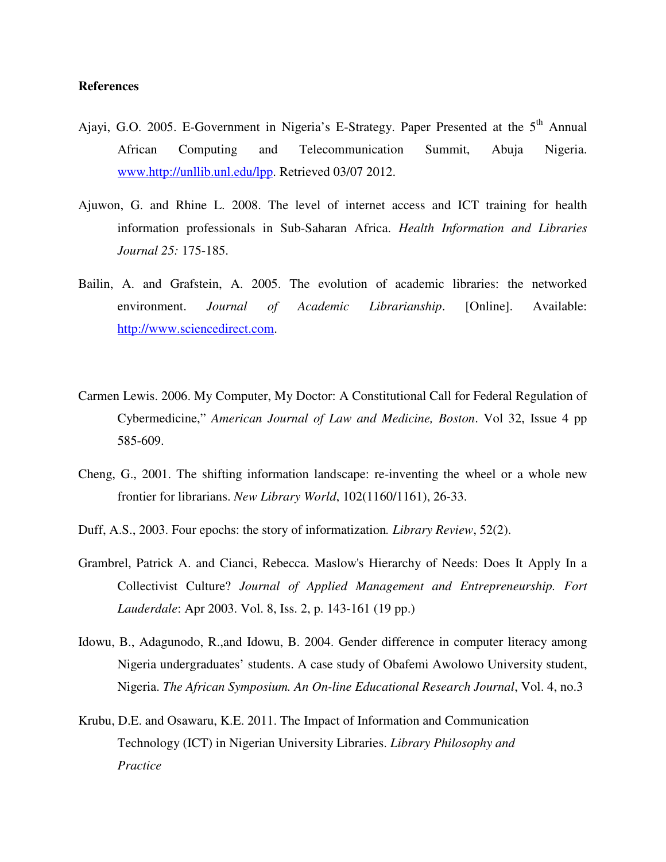#### **References**

- Ajayi, G.O. 2005. E-Government in Nigeria's E-Strategy. Paper Presented at the 5<sup>th</sup> Annual African Computing and Telecommunication Summit, Abuja Nigeria. www.http://unllib.unl.edu/lpp. Retrieved 03/07 2012.
- Ajuwon, G. and Rhine L. 2008. The level of internet access and ICT training for health information professionals in Sub-Saharan Africa. *Health Information and Libraries Journal 25:* 175-185.
- Bailin, A. and Grafstein, A. 2005. The evolution of academic libraries: the networked environment. *Journal of Academic Librarianship*. [Online]. Available: http://www.sciencedirect.com.
- Carmen Lewis. 2006. My Computer, My Doctor: A Constitutional Call for Federal Regulation of Cybermedicine," *American Journal of Law and Medicine, Boston*. Vol 32, Issue 4 pp 585-609.
- Cheng, G., 2001. The shifting information landscape: re-inventing the wheel or a whole new frontier for librarians. *New Library World*, 102(1160/1161), 26-33.
- Duff, A.S., 2003. Four epochs: the story of informatization*. Library Review*, 52(2).
- Grambrel, Patrick A. and Cianci, Rebecca. Maslow's Hierarchy of Needs: Does It Apply In a Collectivist Culture? *Journal of Applied Management and Entrepreneurship. Fort Lauderdale*: Apr 2003. Vol. 8, Iss. 2, p. 143-161 (19 pp.)
- Idowu, B., Adagunodo, R.,and Idowu, B. 2004. Gender difference in computer literacy among Nigeria undergraduates' students. A case study of Obafemi Awolowo University student, Nigeria. *The African Symposium. An On-line Educational Research Journal*, Vol. 4, no.3
- Krubu, D.E. and Osawaru, K.E. 2011. The Impact of Information and Communication Technology (ICT) in Nigerian University Libraries. *Library Philosophy and Practice*